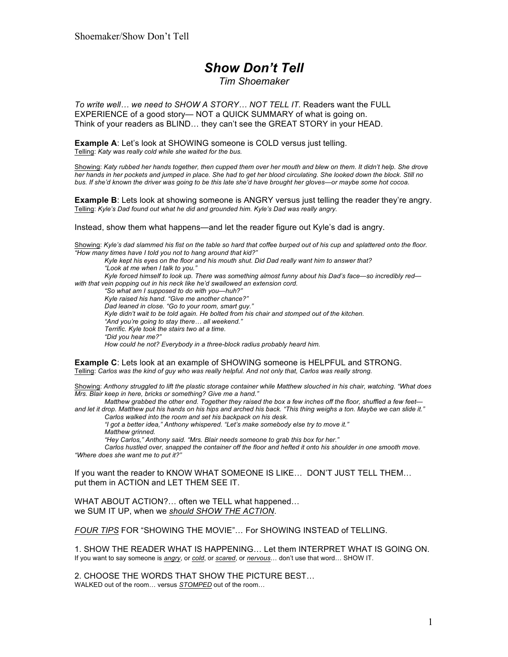# *Show Don't Tell*

#### *Tim Shoemaker*

*To write well… we need to SHOW A STORY… NOT TELL IT.* Readers want the FULL EXPERIENCE of a good story— NOT a QUICK SUMMARY of what is going on. Think of your readers as BLIND… they can't see the GREAT STORY in your HEAD.

**Example A**: Let's look at SHOWING someone is COLD versus just telling. Telling: *Katy was really cold while she waited for the bus.*

Showing: *Katy rubbed her hands together, then cupped them over her mouth and blew on them. It didn't help. She drove her hands in her pockets and jumped in place. She had to get her blood circulating. She looked down the block. Still no bus. If she'd known the driver was going to be this late she'd have brought her gloves—or maybe some hot cocoa.*

**Example B**: Lets look at showing someone is ANGRY versus just telling the reader they're angry. Telling: *Kyle's Dad found out what he did and grounded him. Kyle's Dad was really angry.*

Instead, show them what happens—and let the reader figure out Kyle's dad is angry.

Showing: *Kyle's dad slammed his fist on the table so hard that coffee burped out of his cup and splattered onto the floor. "How many times have I told you not to hang around that kid?"* 

*Kyle kept his eyes on the floor and his mouth shut. Did Dad really want him to answer that? "Look at me when I talk to you." Kyle forced himself to look up. There was something almost funny about his Dad's face—so incredibly red with that vein popping out in his neck like he'd swallowed an extension cord. "So what am I supposed to do with you—huh?" Kyle raised his hand. "Give me another chance?" Dad leaned in close. "Go to your room, smart guy." Kyle didn't wait to be told again. He bolted from his chair and stomped out of the kitchen. "And you're going to stay there… all weekend." Terrific. Kyle took the stairs two at a time. "Did you hear me?"*

*How could he not? Everybody in a three-block radius probably heard him.*

**Example C**: Lets look at an example of SHOWING someone is HELPFUL and STRONG. Telling: *Carlos was the kind of guy who was really helpful. And not only that, Carlos was really strong.*

Showing: *Anthony struggled to lift the plastic storage container while Matthew slouched in his chair, watching. "What does Mrs. Blair keep in here, bricks or something? Give me a hand."*

*Matthew grabbed the other end. Together they raised the box a few inches off the floor, shuffled a few feet and let it drop. Matthew put his hands on his hips and arched his back. "This thing weighs a ton. Maybe we can slide it."*

*Carlos walked into the room and set his backpack on his desk.*

*"I got a better idea," Anthony whispered. "Let's make somebody else try to move it." Matthew grinned.*

*"Hey Carlos," Anthony said. "Mrs. Blair needs someone to grab this box for her."*

*Carlos hustled over, snapped the container off the floor and hefted it onto his shoulder in one smooth move. "Where does she want me to put it?"*

If you want the reader to KNOW WHAT SOMEONE IS LIKE… DON'T JUST TELL THEM… put them in ACTION and LET THEM SEE IT.

WHAT ABOUT ACTION?… often we TELL what happened… we SUM IT UP, when we *should SHOW THE ACTION*.

*FOUR TIPS* FOR "SHOWING THE MOVIE"… For SHOWING INSTEAD of TELLING.

1. SHOW THE READER WHAT IS HAPPENING… Let them INTERPRET WHAT IS GOING ON. If you want to say someone is *angry*, or *cold*, or *scared*, or *nervous*… don't use that word… SHOW IT.

2. CHOOSE THE WORDS THAT SHOW THE PICTURE BEST… WALKED out of the room… versus *STOMPED* out of the room…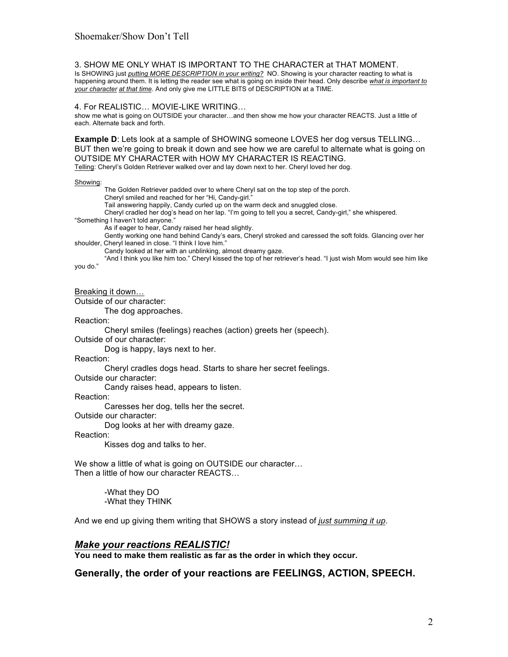3. SHOW ME ONLY WHAT IS IMPORTANT TO THE CHARACTER at THAT MOMENT. Is SHOWING just *putting MORE DESCRIPTION in your writing?* NO. Showing is your character reacting to what is happening around them. It is letting the reader see what is going on inside their head. Only describe *what is important to your character at that time*. And only give me LITTLE BITS of DESCRIPTION at a TIME.

#### 4. For REALISTIC… MOVIE-LIKE WRITING…

show me what is going on OUTSIDE your character…and then show me how your character REACTS. Just a little of each. Alternate back and forth.

**Example D**: Lets look at a sample of SHOWING someone LOVES her dog versus TELLING… BUT then we're going to break it down and see how we are careful to alternate what is going on OUTSIDE MY CHARACTER with HOW MY CHARACTER IS REACTING. Telling: Cheryl's Golden Retriever walked over and lay down next to her. Cheryl loved her dog.

Showing:

The Golden Retriever padded over to where Cheryl sat on the top step of the porch. Cheryl smiled and reached for her "Hi, Candy-girl." Tail answering happily, Candy curled up on the warm deck and snuggled close. Cheryl cradled her dog's head on her lap. "I'm going to tell you a secret, Candy-girl," she whispered. "Something I haven't told anyone." As if eager to hear, Candy raised her head slightly. Gently working one hand behind Candy's ears, Cheryl stroked and caressed the soft folds. Glancing over her shoulder, Cheryl leaned in close. "I think I love him." Candy looked at her with an unblinking, almost dreamy gaze. "And I think you like him too." Cheryl kissed the top of her retriever's head. "I just wish Mom would see him like you do." Breaking it down… Outside of our character:

The dog approaches.

Reaction:

Cheryl smiles (feelings) reaches (action) greets her (speech).

Outside of our character:

Dog is happy, lays next to her.

Reaction:

Cheryl cradles dogs head. Starts to share her secret feelings.

Outside our character:

Candy raises head, appears to listen.

Reaction:

Caresses her dog, tells her the secret.

Outside our character:

Dog looks at her with dreamy gaze.

Reaction:

Kisses dog and talks to her.

We show a little of what is going on OUTSIDE our character… Then a little of how our character REACTS…

> -What they DO -What they THINK

And we end up giving them writing that SHOWS a story instead of *just summing it up*.

### *Make your reactions REALISTIC!*

**You need to make them realistic as far as the order in which they occur.**

**Generally, the order of your reactions are FEELINGS, ACTION, SPEECH.**